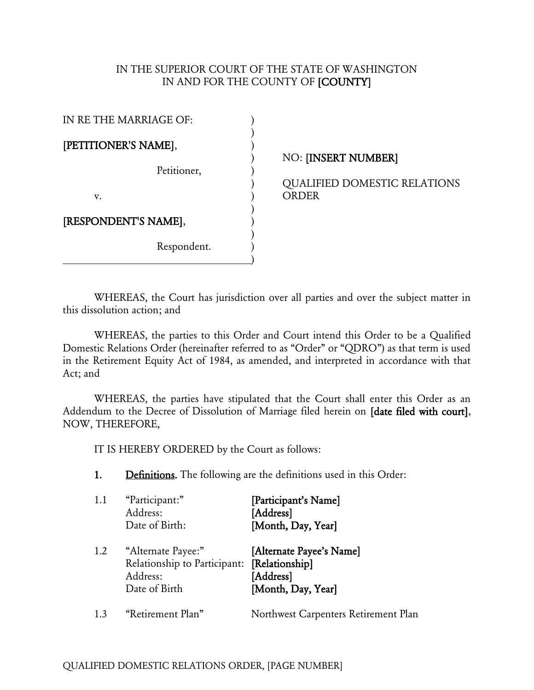## IN THE SUPERIOR COURT OF THE STATE OF WASHINGTON IN AND FOR THE COUNTY OF [COUNTY]

| IN RE THE MARRIAGE OF: |  |  |  |
|------------------------|--|--|--|
| [PETITIONER'S NAME],   |  |  |  |
| Petitioner,            |  |  |  |
| v.                     |  |  |  |
| [RESPONDENT'S NAME],   |  |  |  |
| Respondent.            |  |  |  |

## ) NO: [INSERT NUMBER]

) QUALIFIED DOMESTIC RELATIONS **ORDER** 

WHEREAS, the Court has jurisdiction over all parties and over the subject matter in this dissolution action; and

WHEREAS, the parties to this Order and Court intend this Order to be a Qualified Domestic Relations Order (hereinafter referred to as "Order" or "QDRO") as that term is used in the Retirement Equity Act of 1984, as amended, and interpreted in accordance with that Act; and

WHEREAS, the parties have stipulated that the Court shall enter this Order as an Addendum to the Decree of Dissolution of Marriage filed herein on [date filed with court], NOW, THEREFORE,

IT IS HEREBY ORDERED by the Court as follows:

1. Definitions. The following are the definitions used in this Order:

| 1.1 | "Participant:"<br>Address:<br>Date of Birth:                                    | [Participant's Name]<br>[Address]<br>[Month, Day, Year]                       |
|-----|---------------------------------------------------------------------------------|-------------------------------------------------------------------------------|
| 1.2 | "Alternate Payee:"<br>Relationship to Participant:<br>Address:<br>Date of Birth | [Alternate Payee's Name]<br>[Relationship]<br>[Address]<br>[Month, Day, Year] |
| 1.3 | "Retirement Plan"                                                               | Northwest Carpenters Retirement Plan                                          |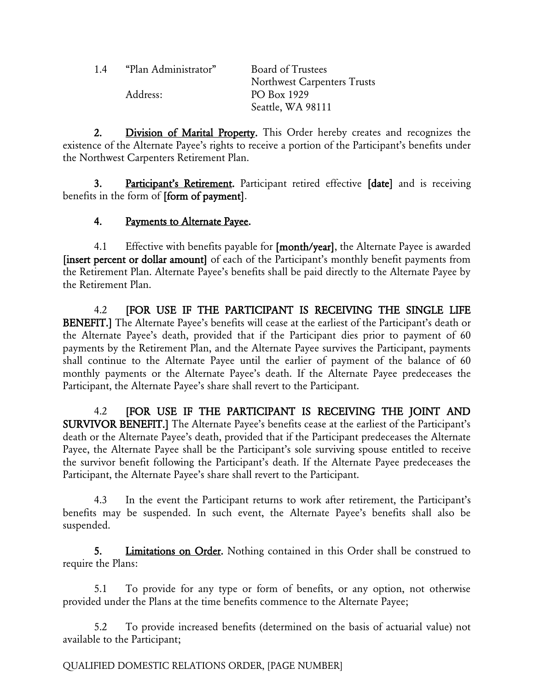| 1.4 | "Plan Administrator" | Board of Trustees           |
|-----|----------------------|-----------------------------|
|     |                      | Northwest Carpenters Trusts |
|     | Address:             | PO Box 1929                 |
|     |                      | Seattle, WA 98111           |

2. Division of Marital Property. This Order hereby creates and recognizes the existence of the Alternate Payee's rights to receive a portion of the Participant's benefits under the Northwest Carpenters Retirement Plan.

3. Participant's Retirement. Participant retired effective [date] and is receiving benefits in the form of [form of payment].

## 4. Payments to Alternate Payee.

4.1 Effective with benefits payable for [month/year], the Alternate Payee is awarded [insert percent or dollar amount] of each of the Participant's monthly benefit payments from the Retirement Plan. Alternate Payee's benefits shall be paid directly to the Alternate Payee by the Retirement Plan.

4.2 [FOR USE IF THE PARTICIPANT IS RECEIVING THE SINGLE LIFE BENEFIT.] The Alternate Payee's benefits will cease at the earliest of the Participant's death or the Alternate Payee's death, provided that if the Participant dies prior to payment of 60 payments by the Retirement Plan, and the Alternate Payee survives the Participant, payments shall continue to the Alternate Payee until the earlier of payment of the balance of 60 monthly payments or the Alternate Payee's death. If the Alternate Payee predeceases the Participant, the Alternate Payee's share shall revert to the Participant.

4.2 **[FOR USE IF THE PARTICIPANT IS RECEIVING THE JOINT AND** SURVIVOR BENEFIT.] The Alternate Payee's benefits cease at the earliest of the Participant's death or the Alternate Payee's death, provided that if the Participant predeceases the Alternate Payee, the Alternate Payee shall be the Participant's sole surviving spouse entitled to receive the survivor benefit following the Participant's death. If the Alternate Payee predeceases the Participant, the Alternate Payee's share shall revert to the Participant.

4.3 In the event the Participant returns to work after retirement, the Participant's benefits may be suspended. In such event, the Alternate Payee's benefits shall also be suspended.

5. Limitations on Order. Nothing contained in this Order shall be construed to require the Plans:

5.1 To provide for any type or form of benefits, or any option, not otherwise provided under the Plans at the time benefits commence to the Alternate Payee;

5.2 To provide increased benefits (determined on the basis of actuarial value) not available to the Participant;

QUALIFIED DOMESTIC RELATIONS ORDER, [PAGE NUMBER]